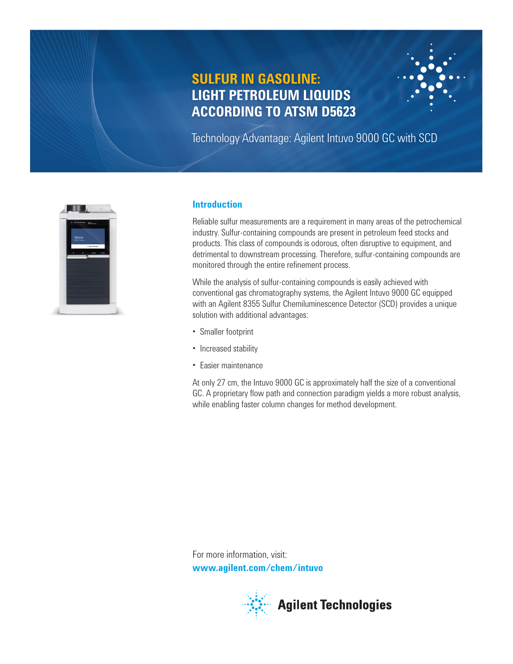# **SULFUR IN GASOLINE: LIGHT PETROLEUM LIQUIDS ACCORDING TO ATSM D5623**

Technology Advantage: Agilent Intuvo 9000 GC with SCD



## **Introduction**

Reliable sulfur measurements are a requirement in many areas of the petrochemical industry. Sulfur-containing compounds are present in petroleum feed stocks and products. This class of compounds is odorous, often disruptive to equipment, and detrimental to downstream processing. Therefore, sulfur-containing compounds are monitored through the entire refinement process.

While the analysis of sulfur-containing compounds is easily achieved with conventional gas chromatography systems, the Agilent Intuvo 9000 GC equipped with an Agilent 8355 Sulfur Chemiluminescence Detector (SCD) provides a unique solution with additional advantages:

- Smaller footprint
- Increased stability
- Easier maintenance

At only 27 cm, the Intuvo 9000 GC is approximately half the size of a conventional GC. A proprietary flow path and connection paradigm yields a more robust analysis, while enabling faster column changes for method development.

For more information, visit: **www.agilent.com/chem/intuvo**

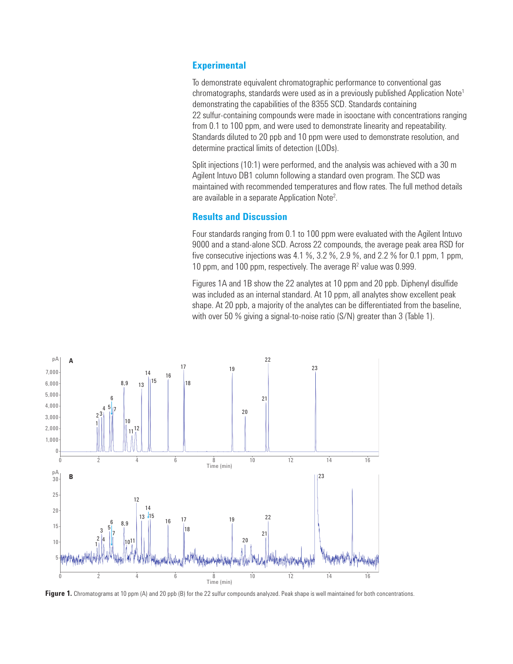### **Experimental**

To demonstrate equivalent chromatographic performance to conventional gas chromatographs, standards were used as in a previously published Application Note<sup>1</sup> demonstrating the capabilities of the 8355 SCD. Standards containing 22 sulfur-containing compounds were made in isooctane with concentrations ranging from 0.1 to 100 ppm, and were used to demonstrate linearity and repeatability. Standards diluted to 20 ppb and 10 ppm were used to demonstrate resolution, and determine practical limits of detection (LODs).

Split injections (10:1) were performed, and the analysis was achieved with a 30 m Agilent Intuvo DB1 column following a standard oven program. The SCD was maintained with recommended temperatures and flow rates. The full method details are available in a separate Application Note<sup>2</sup>.

#### **Results and Discussion**

Four standards ranging from 0.1 to 100 ppm were evaluated with the Agilent Intuvo 9000 and a stand-alone SCD. Across 22 compounds, the average peak area RSD for five consecutive injections was 4.1 %, 3.2 %, 2.9 %, and 2.2 % for 0.1 ppm, 1 ppm, 10 ppm, and 100 ppm, respectively. The average  $R<sup>2</sup>$  value was 0.999.

Figures 1A and 1B show the 22 analytes at 10 ppm and 20 ppb. Diphenyl disulfide was included as an internal standard. At 10 ppm, all analytes show excellent peak shape. At 20 ppb, a majority of the analytes can be differentiated from the baseline, with over 50 % giving a signal-to-noise ratio (S/N) greater than 3 (Table 1).



**Figure 1.** Chromatograms at 10 ppm (A) and 20 ppb (B) for the 22 sulfur compounds analyzed. Peak shape is well maintained for both concentrations.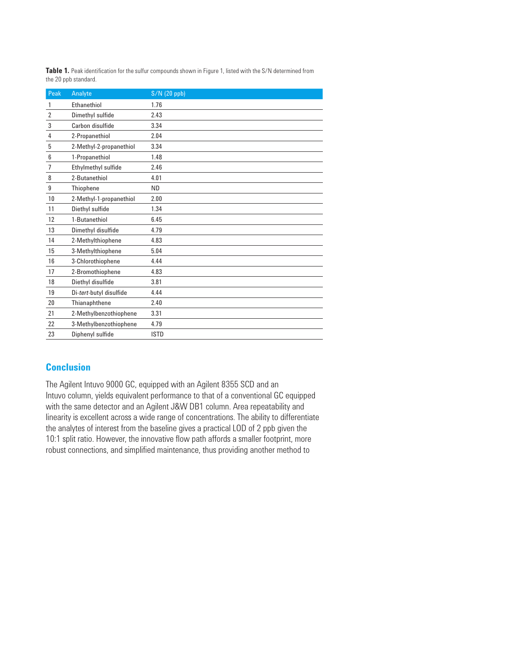| Peak           | Analyte                 | $S/N$ (20 ppb) |
|----------------|-------------------------|----------------|
| 1              | Ethanethiol             | 1.76           |
| $\overline{2}$ | Dimethyl sulfide        | 2.43           |
| 3              | Carbon disulfide        | 3.34           |
| 4              | 2-Propanethiol          | 2.04           |
| 5              | 2-Methyl-2-propanethiol | 3.34           |
| 6              | 1-Propanethiol          | 1.48           |
| $\overline{7}$ | Ethylmethyl sulfide     | 2.46           |
| 8              | 2-Butanethiol           | 4.01           |
| 9              | Thiophene               | ND.            |
| 10             | 2-Methyl-1-propanethiol | 2.00           |
| 11             | Diethyl sulfide         | 1.34           |
| 12             | 1-Butanethiol           | 6.45           |
| 13             | Dimethyl disulfide      | 4.79           |
| 14             | 2-Methylthiophene       | 4.83           |
| 15             | 3-Methylthiophene       | 5.04           |
| 16             | 3-Chlorothiophene       | 4.44           |
| 17             | 2-Bromothiophene        | 4.83           |
| 18             | Diethyl disulfide       | 3.81           |
| 19             | Di-tert-butyl disulfide | 4.44           |
| 20             | Thianaphthene           | 2.40           |
| 21             | 2-Methylbenzothiophene  | 3.31           |
| 22             | 3-Methylbenzothiophene  | 4.79           |
| 23             | Diphenyl sulfide        | <b>ISTD</b>    |

**Table 1.** Peak identification for the sulfur compounds shown in Figure 1, listed with the S/N determined from the 20 ppb standard.

## **Conclusion**

The Agilent Intuvo 9000 GC, equipped with an Agilent 8355 SCD and an Intuvo column, yields equivalent performance to that of a conventional GC equipped with the same detector and an Agilent J&W DB1 column. Area repeatability and linearity is excellent across a wide range of concentrations. The ability to differentiate the analytes of interest from the baseline gives a practical LOD of 2 ppb given the 10:1 split ratio. However, the innovative flow path affords a smaller footprint, more robust connections, and simplified maintenance, thus providing another method to